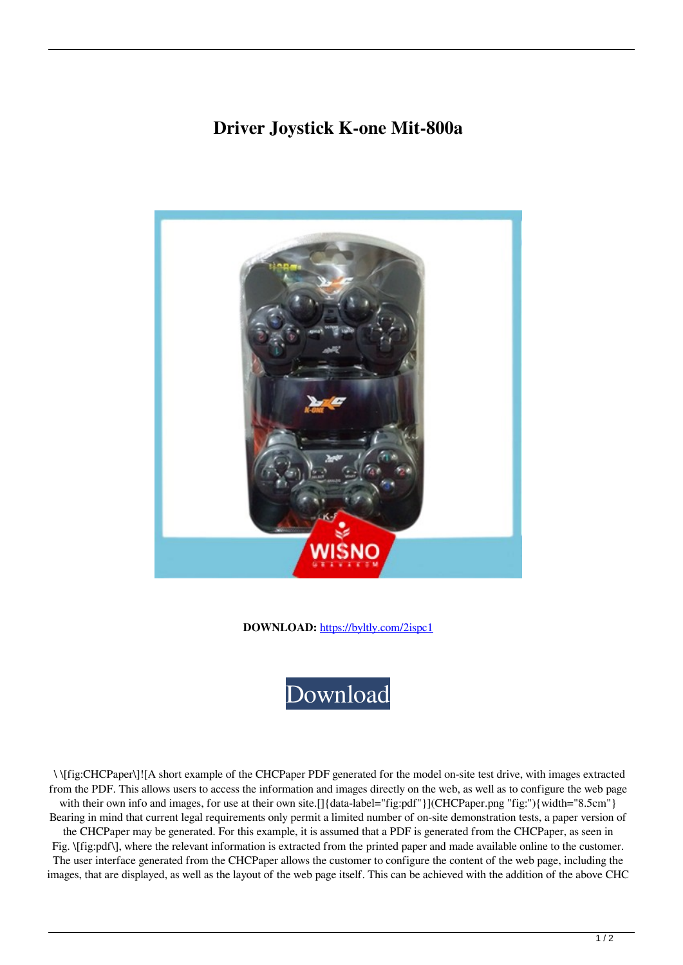## **Driver Joystick K-one Mit-800a**



**DOWNLOAD:** <https://byltly.com/2ispc1>

[Download](https://byltly.com/2ispc1)

 \ \[fig:CHCPaper\]![A short example of the CHCPaper PDF generated for the model on-site test drive, with images extracted from the PDF. This allows users to access the information and images directly on the web, as well as to configure the web page with their own info and images, for use at their own site.[]{data-label="fig:pdf"}](CHCPaper.png "fig:"){width="8.5cm"} Bearing in mind that current legal requirements only permit a limited number of on-site demonstration tests, a paper version of the CHCPaper may be generated. For this example, it is assumed that a PDF is generated from the CHCPaper, as seen in

Fig.  $\{fig:pdf\}$ , where the relevant information is extracted from the printed paper and made available online to the customer. The user interface generated from the CHCPaper allows the customer to configure the content of the web page, including the images, that are displayed, as well as the layout of the web page itself. This can be achieved with the addition of the above CHC